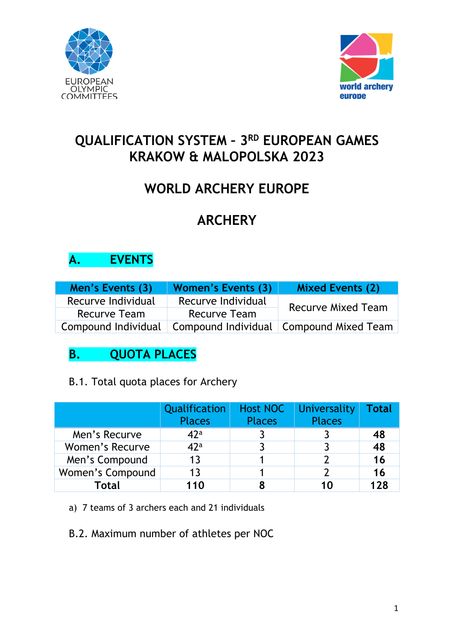



# **QUALIFICATION SYSTEM – 3RD EUROPEAN GAMES KRAKOW & MALOPOLSKA 2023**

# **WORLD ARCHERY EUROPE**

# **ARCHERY**

## **A. EVENTS**

| Men's Events (3)    | Women's Events (3)  | <b>Mixed Events (2)</b>                   |  |
|---------------------|---------------------|-------------------------------------------|--|
| Recurve Individual  | Recurve Individual  | <b>Recurve Mixed Team</b>                 |  |
| <b>Recurve Team</b> | <b>Recurve Team</b> |                                           |  |
| Compound Individual |                     | Compound Individual   Compound Mixed Team |  |

# **B. QUOTA PLACES**

### B.1. Total quota places for Archery

|                        | Qualification   | <b>Host NOC</b> | Universality  | Total |
|------------------------|-----------------|-----------------|---------------|-------|
|                        | <b>Places</b>   | <b>Places</b>   | <b>Places</b> |       |
| Men's Recurve          | 42 <sup>a</sup> |                 |               | 48    |
| <b>Women's Recurve</b> | 42 <sup>a</sup> |                 |               | 48    |
| Men's Compound         | 13              |                 |               | 16    |
| Women's Compound       | 13              |                 |               | 16    |
| <b>Total</b>           | 110             |                 | 10            | 128   |

a) 7 teams of 3 archers each and 21 individuals

B.2. Maximum number of athletes per NOC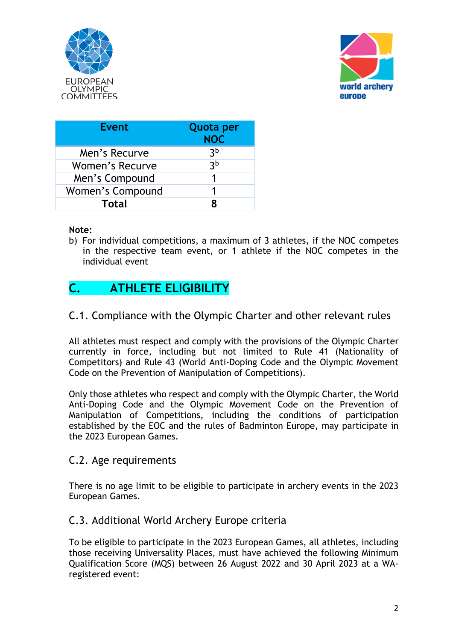



| <b>Event</b>           | <b>Quota per</b><br><b>NOC</b> |
|------------------------|--------------------------------|
| Men's Recurve          | 3 <sub>p</sub>                 |
| <b>Women's Recurve</b> | 3 <sub>b</sub>                 |
| Men's Compound         | 1                              |
| Women's Compound       | 1                              |
| <b>Total</b>           |                                |

#### **Note:**

b) For individual competitions, a maximum of 3 athletes, if the NOC competes in the respective team event, or 1 athlete if the NOC competes in the individual event

### **C. ATHLETE ELIGIBILITY**

#### C.1. Compliance with the Olympic Charter and other relevant rules

All athletes must respect and comply with the provisions of the Olympic Charter currently in force, including but not limited to Rule 41 (Nationality of Competitors) and Rule 43 (World Anti-Doping Code and the Olympic Movement Code on the Prevention of Manipulation of Competitions).

Only those athletes who respect and comply with the Olympic Charter, the World Anti-Doping Code and the Olympic Movement Code on the Prevention of Manipulation of Competitions, including the conditions of participation established by the EOC and the rules of Badminton Europe, may participate in the 2023 European Games.

#### C.2. Age requirements

There is no age limit to be eligible to participate in archery events in the 2023 European Games.

#### C.3. Additional World Archery Europe criteria

To be eligible to participate in the 2023 European Games, all athletes, including those receiving Universality Places, must have achieved the following Minimum Qualification Score (MQS) between 26 August 2022 and 30 April 2023 at a WAregistered event: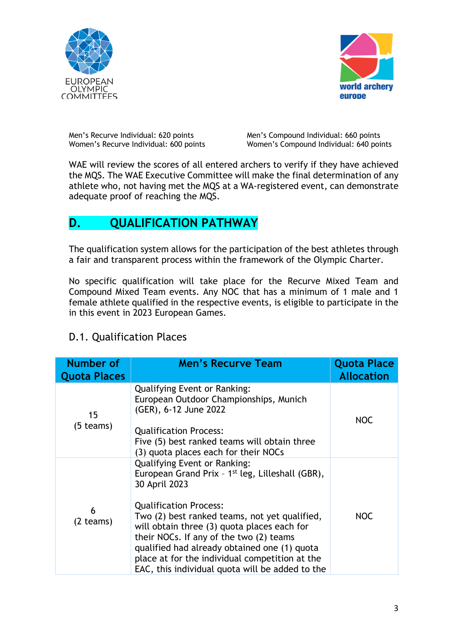



Men's Recurve Individual: 620 points Men's Compound Individual: 660 points Women's Recurve Individual: 600 points Women's Compound Individual: 640 points

Women's Compound Individual: 640 points

WAE will review the scores of all entered archers to verify if they have achieved the MQS. The WAE Executive Committee will make the final determination of any athlete who, not having met the MQS at a WA-registered event, can demonstrate adequate proof of reaching the MQS.

### **D. QUALIFICATION PATHWAY**

The qualification system allows for the participation of the best athletes through a fair and transparent process within the framework of the Olympic Charter.

No specific qualification will take place for the Recurve Mixed Team and Compound Mixed Team events. Any NOC that has a minimum of 1 male and 1 female athlete qualified in the respective events, is eligible to participate in the in this event in 2023 European Games.

### D.1. Qualification Places

| <b>Number of</b><br><b>Quota Places</b> | <b>Men's Recurve Team</b>                                                                                                                                                                                                                                                                                                                                                                                                                             | <b>Quota Place</b><br><b>Allocation</b> |
|-----------------------------------------|-------------------------------------------------------------------------------------------------------------------------------------------------------------------------------------------------------------------------------------------------------------------------------------------------------------------------------------------------------------------------------------------------------------------------------------------------------|-----------------------------------------|
| 15<br>(5 teams)                         | <b>Qualifying Event or Ranking:</b><br>European Outdoor Championships, Munich<br>(GER), 6-12 June 2022<br><b>Qualification Process:</b><br>Five (5) best ranked teams will obtain three<br>(3) quota places each for their NOCs                                                                                                                                                                                                                       | <b>NOC</b>                              |
| 6<br>(2 teams)                          | <b>Qualifying Event or Ranking:</b><br>European Grand Prix - 1 <sup>st</sup> leg, Lilleshall (GBR),<br>30 April 2023<br><b>Qualification Process:</b><br>Two (2) best ranked teams, not yet qualified,<br>will obtain three (3) quota places each for<br>their NOCs. If any of the two (2) teams<br>qualified had already obtained one (1) quota<br>place at for the individual competition at the<br>EAC, this individual quota will be added to the | <b>NOC</b>                              |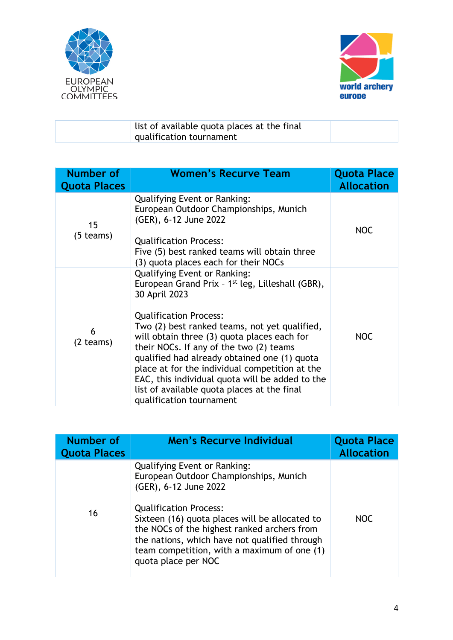



| list of available quota places at the final |  |
|---------------------------------------------|--|
| qualification tournament                    |  |

| Number of<br><b>Quota Places</b> | <b>Women's Recurve Team</b>                                                                                                                                                                                                                                                                                                                                                                                                                                                                                                      | <b>Quota Place</b><br><b>Allocation</b> |
|----------------------------------|----------------------------------------------------------------------------------------------------------------------------------------------------------------------------------------------------------------------------------------------------------------------------------------------------------------------------------------------------------------------------------------------------------------------------------------------------------------------------------------------------------------------------------|-----------------------------------------|
| 15<br>$(5$ teams)                | <b>Qualifying Event or Ranking:</b><br>European Outdoor Championships, Munich<br>(GER), 6-12 June 2022<br><b>Qualification Process:</b><br>Five (5) best ranked teams will obtain three<br>(3) quota places each for their NOCs                                                                                                                                                                                                                                                                                                  | <b>NOC</b>                              |
| 6<br>$(2$ teams)                 | <b>Qualifying Event or Ranking:</b><br>European Grand Prix - 1 <sup>st</sup> leg, Lilleshall (GBR),<br>30 April 2023<br><b>Qualification Process:</b><br>Two (2) best ranked teams, not yet qualified,<br>will obtain three (3) quota places each for<br>their NOCs. If any of the two (2) teams<br>qualified had already obtained one (1) quota<br>place at for the individual competition at the<br>EAC, this individual quota will be added to the<br>list of available quota places at the final<br>qualification tournament | <b>NOC</b>                              |

| Number of<br><b>Quota Places</b> | <b>Men's Recurve Individual</b>                                                                                                                                                                                                                                                                                                                                 | <b>Quota Place</b><br><b>Allocation</b> |
|----------------------------------|-----------------------------------------------------------------------------------------------------------------------------------------------------------------------------------------------------------------------------------------------------------------------------------------------------------------------------------------------------------------|-----------------------------------------|
| 16                               | <b>Qualifying Event or Ranking:</b><br>European Outdoor Championships, Munich<br>(GER), 6-12 June 2022<br><b>Qualification Process:</b><br>Sixteen (16) quota places will be allocated to<br>the NOCs of the highest ranked archers from<br>the nations, which have not qualified through<br>team competition, with a maximum of one (1)<br>quota place per NOC | <b>NOC</b>                              |
|                                  |                                                                                                                                                                                                                                                                                                                                                                 |                                         |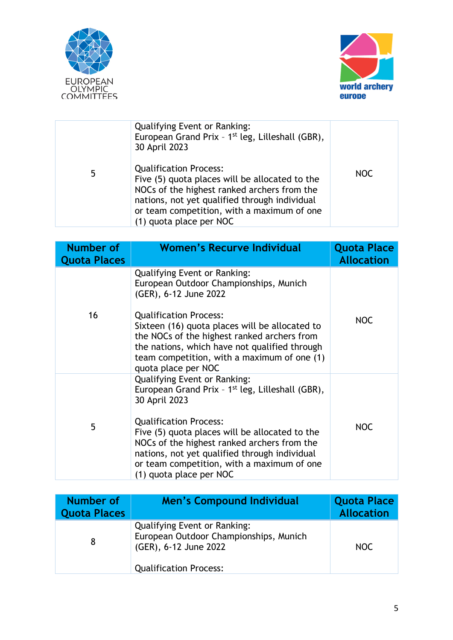



|   | <b>Qualifying Event or Ranking:</b><br>European Grand Prix - 1 <sup>st</sup> leg, Lilleshall (GBR),<br>30 April 2023                                                                                                                                     |     |
|---|----------------------------------------------------------------------------------------------------------------------------------------------------------------------------------------------------------------------------------------------------------|-----|
| 5 | <b>Qualification Process:</b><br>Five (5) quota places will be allocated to the<br>NOCs of the highest ranked archers from the<br>nations, not yet qualified through individual<br>or team competition, with a maximum of one<br>(1) quota place per NOC | NOC |

| Number of<br><b>Quota Places</b> | <b>Women's Recurve Individual</b>                                                                                                                                                                                                                                                                                                                                                | <b>Quota Place</b><br><b>Allocation</b> |
|----------------------------------|----------------------------------------------------------------------------------------------------------------------------------------------------------------------------------------------------------------------------------------------------------------------------------------------------------------------------------------------------------------------------------|-----------------------------------------|
| 16                               | <b>Qualifying Event or Ranking:</b><br>European Outdoor Championships, Munich<br>(GER), 6-12 June 2022<br><b>Qualification Process:</b><br>Sixteen (16) quota places will be allocated to<br>the NOCs of the highest ranked archers from<br>the nations, which have not qualified through<br>team competition, with a maximum of one (1)<br>quota place per NOC                  | <b>NOC</b>                              |
| 5                                | <b>Qualifying Event or Ranking:</b><br>European Grand Prix - 1 <sup>st</sup> leg, Lilleshall (GBR),<br>30 April 2023<br><b>Qualification Process:</b><br>Five (5) quota places will be allocated to the<br>NOCs of the highest ranked archers from the<br>nations, not yet qualified through individual<br>or team competition, with a maximum of one<br>(1) quota place per NOC | <b>NOC</b>                              |

| Number of<br><b>Quota Places</b> | <b>Men's Compound Individual</b>                                                                                                        | <b>Quota Place</b><br><b>Allocation</b> |
|----------------------------------|-----------------------------------------------------------------------------------------------------------------------------------------|-----------------------------------------|
|                                  | <b>Qualifying Event or Ranking:</b><br>European Outdoor Championships, Munich<br>(GER), 6-12 June 2022<br><b>Qualification Process:</b> | NOC.                                    |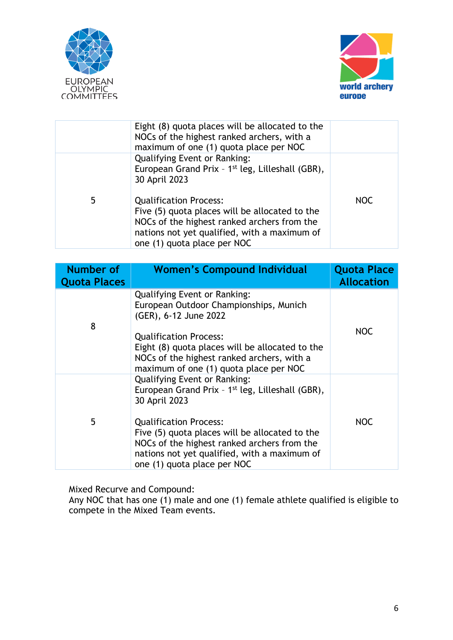



|   | Eight (8) quota places will be allocated to the<br>NOCs of the highest ranked archers, with a<br>maximum of one (1) quota place per NOC                                                                                                                |            |
|---|--------------------------------------------------------------------------------------------------------------------------------------------------------------------------------------------------------------------------------------------------------|------------|
| 5 | <b>Qualifying Event or Ranking:</b><br>European Grand Prix - 1 <sup>st</sup> leg, Lilleshall (GBR),<br>30 April 2023<br><b>Qualification Process:</b><br>Five (5) quota places will be allocated to the<br>NOCs of the highest ranked archers from the | <b>NOC</b> |
|   | nations not yet qualified, with a maximum of<br>one (1) quota place per NOC                                                                                                                                                                            |            |

| Number of<br><b>Quota Places</b> | <b>Women's Compound Individual</b>                                                                                                                                                                                                                                                                                                    | <b>Quota Place</b><br><b>Allocation</b> |
|----------------------------------|---------------------------------------------------------------------------------------------------------------------------------------------------------------------------------------------------------------------------------------------------------------------------------------------------------------------------------------|-----------------------------------------|
| 8                                | <b>Qualifying Event or Ranking:</b><br>European Outdoor Championships, Munich<br>(GER), 6-12 June 2022<br><b>Qualification Process:</b><br>Eight (8) quota places will be allocated to the<br>NOCs of the highest ranked archers, with a<br>maximum of one (1) quota place per NOC                                                    | <b>NOC</b>                              |
| 5                                | <b>Qualifying Event or Ranking:</b><br>European Grand Prix - 1 <sup>st</sup> leg, Lilleshall (GBR),<br>30 April 2023<br><b>Qualification Process:</b><br>Five (5) quota places will be allocated to the<br>NOCs of the highest ranked archers from the<br>nations not yet qualified, with a maximum of<br>one (1) quota place per NOC | <b>NOC</b>                              |

Mixed Recurve and Compound:

Any NOC that has one (1) male and one (1) female athlete qualified is eligible to compete in the Mixed Team events.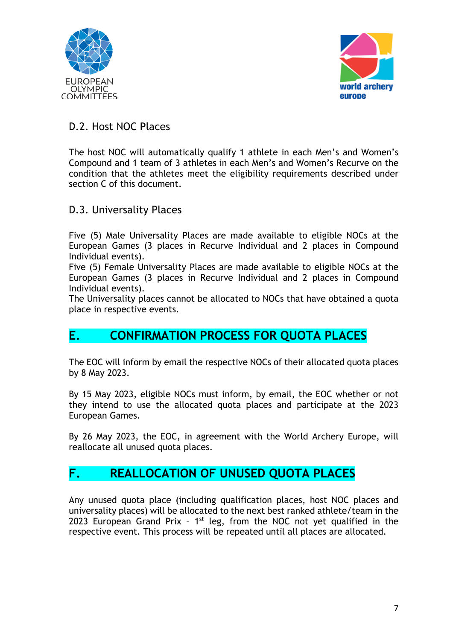



### D.2. Host NOC Places

The host NOC will automatically qualify 1 athlete in each Men's and Women's Compound and 1 team of 3 athletes in each Men's and Women's Recurve on the condition that the athletes meet the eligibility requirements described under section C of this document.

#### D.3. Universality Places

Five (5) Male Universality Places are made available to eligible NOCs at the European Games (3 places in Recurve Individual and 2 places in Compound Individual events).

Five (5) Female Universality Places are made available to eligible NOCs at the European Games (3 places in Recurve Individual and 2 places in Compound Individual events).

The Universality places cannot be allocated to NOCs that have obtained a quota place in respective events.

### **E. CONFIRMATION PROCESS FOR QUOTA PLACES**

The EOC will inform by email the respective NOCs of their allocated quota places by 8 May 2023.

By 15 May 2023, eligible NOCs must inform, by email, the EOC whether or not they intend to use the allocated quota places and participate at the 2023 European Games.

By 26 May 2023, the EOC, in agreement with the World Archery Europe, will reallocate all unused quota places.

### **F. REALLOCATION OF UNUSED QUOTA PLACES**

Any unused quota place (including qualification places, host NOC places and universality places) will be allocated to the next best ranked athlete/team in the 2023 European Grand Prix -  $1<sup>st</sup>$  leg, from the NOC not yet qualified in the respective event. This process will be repeated until all places are allocated.